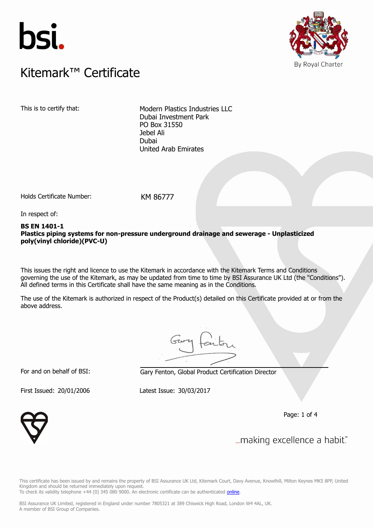



### $K$ itemark $W$  Certificate Kitemark™ Certificate

This is to certify that: Modern Plastics Industries LLC Dubai Investment Park PO Box 31550 Jebel Ali Dubai United Arab Emirates

Holds Certificate Number: KM 86777

In respect of:

#### **BS EN 1401-1 Plastics piping systems for non-pressure underground drainage and sewerage - Unplasticized poly(vinyl chloride)(PVC-U)**

This issues the right and licence to use the Kitemark in accordance with the Kitemark Terms and Conditions governing the use of the Kitemark, as may be updated from time to time by BSI Assurance UK Ltd (the "Conditions"). All defined terms in this Certificate shall have the same meaning as in the Conditions.

The use of the Kitemark is authorized in respect of the Product(s) detailed on this Certificate provided at or from the above address.

For and on behalf of BSI: Gary Fenton, Global Product Certification Director

First Issued: 20/01/2006 Latest Issue: 30/03/2017

Page: 1 of 4



... making excellence a habit."

This certificate has been issued by and remains the property of BSI Assurance UK Ltd, Kitemark Court, Davy Avenue, Knowlhill, Milton Keynes MK5 8PP, United Kingdom and should be returned immediately upon request. To check its validity telephone +44 (0) 345 080 9000. An electronic certificate can be authenticated *[online](https://pgplus.bsigroup.com/CertificateValidation/CertificateValidator.aspx?CertificateNumber=KM+86777&ReIssueDate=30%2f03%2f2017&Template=uk)*.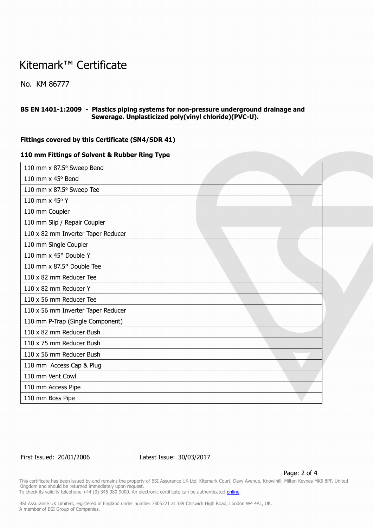### Kitemark™ Certificate

No. KM 86777

#### **BS EN 1401-1:2009 - Plastics piping systems for non-pressure underground drainage and Sewerage. Unplasticized poly(vinyl chloride)(PVC-U).**

#### **Fittings covered by this Certificate (SN4/SDR 41)**

#### **110 mm Fittings of Solvent & Rubber Ring Type**

| 110 mm x 87.5° Sweep Bend          |  |
|------------------------------------|--|
| 110 mm $\times$ 45 $\circ$ Bend    |  |
| 110 mm x 87.5° Sweep Tee           |  |
| 110 mm x 45° Y                     |  |
| 110 mm Coupler                     |  |
| 110 mm Slip / Repair Coupler       |  |
| 110 x 82 mm Inverter Taper Reducer |  |
| 110 mm Single Coupler              |  |
| 110 mm x 45° Double Y              |  |
| 110 mm x 87.5° Double Tee          |  |
| 110 x 82 mm Reducer Tee            |  |
| 110 x 82 mm Reducer Y              |  |
| 110 x 56 mm Reducer Tee            |  |
| 110 x 56 mm Inverter Taper Reducer |  |
| 110 mm P-Trap (Single Component)   |  |
| 110 x 82 mm Reducer Bush           |  |
| 110 x 75 mm Reducer Bush           |  |
| 110 x 56 mm Reducer Bush           |  |
| 110 mm Access Cap & Plug           |  |
| 110 mm Vent Cowl                   |  |
| 110 mm Access Pipe                 |  |
| 110 mm Boss Pipe                   |  |

First Issued: 20/01/2006 Latest Issue: 30/03/2017

Page: 2 of 4

This certificate has been issued by and remains the property of BSI Assurance UK Ltd, Kitemark Court, Davy Avenue, Knowlhill, Milton Keynes MK5 8PP, United Kingdom and should be returned immediately upon request.

To check its validity telephone +44 (0) 345 080 9000. An electronic certificate can be authenticated *[online](https://pgplus.bsigroup.com/CertificateValidation/CertificateValidator.aspx?CertificateNumber=KM+86777&ReIssueDate=30%2f03%2f2017&Template=uk)*.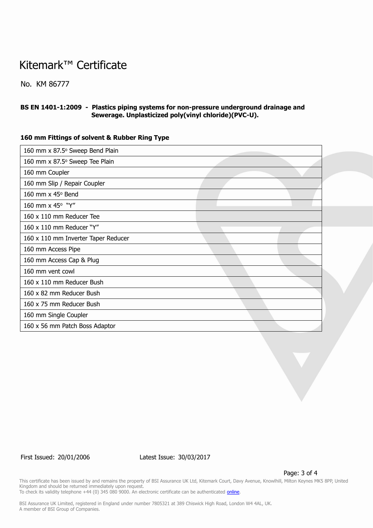## Kitemark™ Certificate

No. KM 86777

#### **BS EN 1401-1:2009 - Plastics piping systems for non-pressure underground drainage and Sewerage. Unplasticized poly(vinyl chloride)(PVC-U).**

#### **160 mm Fittings of solvent & Rubber Ring Type**

| 160 mm x 87.5° Sweep Bend Plain     |  |
|-------------------------------------|--|
| 160 mm x 87.5° Sweep Tee Plain      |  |
| 160 mm Coupler                      |  |
| 160 mm Slip / Repair Coupler        |  |
| 160 mm x 45° Bend                   |  |
| 160 mm x 45° "Y"                    |  |
| 160 x 110 mm Reducer Tee            |  |
| 160 x 110 mm Reducer "Y"            |  |
| 160 x 110 mm Inverter Taper Reducer |  |
| 160 mm Access Pipe                  |  |
| 160 mm Access Cap & Plug            |  |
| 160 mm vent cowl                    |  |
| 160 x 110 mm Reducer Bush           |  |
| 160 x 82 mm Reducer Bush            |  |
| 160 x 75 mm Reducer Bush            |  |
| 160 mm Single Coupler               |  |
| 160 x 56 mm Patch Boss Adaptor      |  |

First Issued: 20/01/2006 Latest Issue: 30/03/2017

Page: 3 of 4

This certificate has been issued by and remains the property of BSI Assurance UK Ltd, Kitemark Court, Davy Avenue, Knowlhill, Milton Keynes MK5 8PP, United Kingdom and should be returned immediately upon request. To check its validity telephone +44 (0) 345 080 9000. An electronic certificate can be authenticated *[online](https://pgplus.bsigroup.com/CertificateValidation/CertificateValidator.aspx?CertificateNumber=KM+86777&ReIssueDate=30%2f03%2f2017&Template=uk)*.